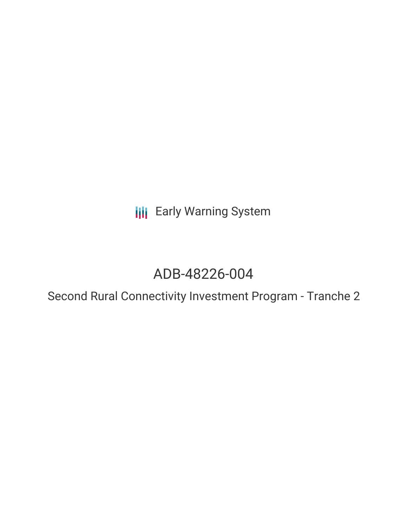**III** Early Warning System

# ADB-48226-004

Second Rural Connectivity Investment Program - Tranche 2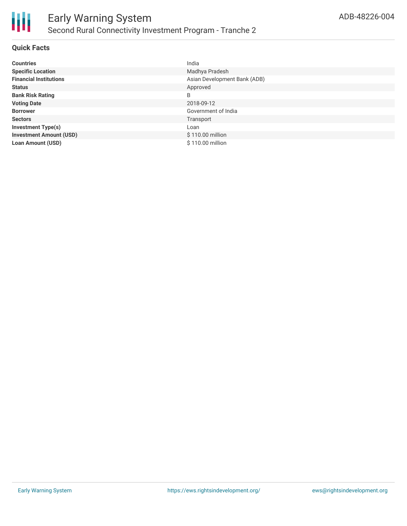

# **Quick Facts**

| <b>Countries</b>               | India                        |
|--------------------------------|------------------------------|
| <b>Specific Location</b>       | Madhya Pradesh               |
| <b>Financial Institutions</b>  | Asian Development Bank (ADB) |
| <b>Status</b>                  | Approved                     |
| <b>Bank Risk Rating</b>        | B                            |
| <b>Voting Date</b>             | 2018-09-12                   |
| <b>Borrower</b>                | Government of India          |
| <b>Sectors</b>                 | Transport                    |
| <b>Investment Type(s)</b>      | Loan                         |
| <b>Investment Amount (USD)</b> | \$110.00 million             |
| <b>Loan Amount (USD)</b>       | \$110.00 million             |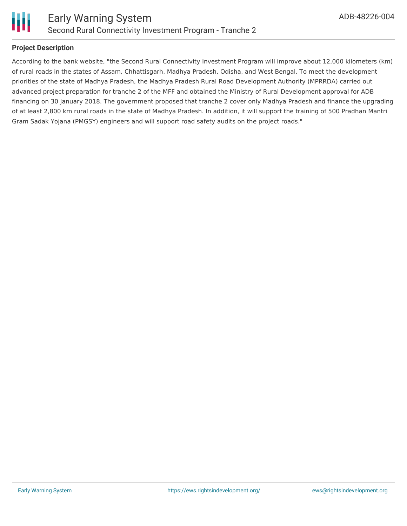

# **Project Description**

According to the bank website, "the Second Rural Connectivity Investment Program will improve about 12,000 kilometers (km) of rural roads in the states of Assam, Chhattisgarh, Madhya Pradesh, Odisha, and West Bengal. To meet the development priorities of the state of Madhya Pradesh, the Madhya Pradesh Rural Road Development Authority (MPRRDA) carried out advanced project preparation for tranche 2 of the MFF and obtained the Ministry of Rural Development approval for ADB financing on 30 January 2018. The government proposed that tranche 2 cover only Madhya Pradesh and finance the upgrading of at least 2,800 km rural roads in the state of Madhya Pradesh. In addition, it will support the training of 500 Pradhan Mantri Gram Sadak Yojana (PMGSY) engineers and will support road safety audits on the project roads."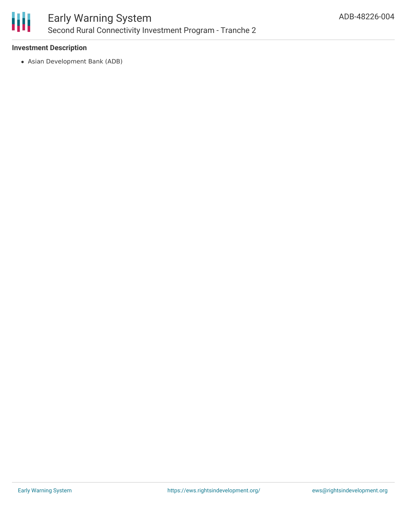

# **Investment Description**

Asian Development Bank (ADB)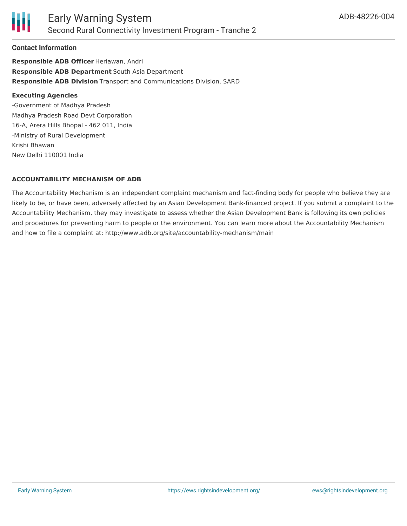

## **Contact Information**

**Responsible ADB Officer** Heriawan, Andri **Responsible ADB Department** South Asia Department **Responsible ADB Division** Transport and Communications Division, SARD

#### **Executing Agencies**

-Government of Madhya Pradesh Madhya Pradesh Road Devt Corporation 16-A, Arera Hills Bhopal - 462 011, India -Ministry of Rural Development Krishi Bhawan New Delhi 110001 India

## **ACCOUNTABILITY MECHANISM OF ADB**

The Accountability Mechanism is an independent complaint mechanism and fact-finding body for people who believe they are likely to be, or have been, adversely affected by an Asian Development Bank-financed project. If you submit a complaint to the Accountability Mechanism, they may investigate to assess whether the Asian Development Bank is following its own policies and procedures for preventing harm to people or the environment. You can learn more about the Accountability Mechanism and how to file a complaint at: http://www.adb.org/site/accountability-mechanism/main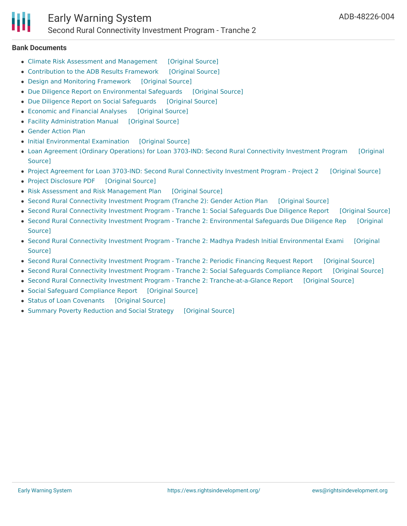#### **Bank Documents**

- Climate Risk Assessment and [Management](https://ewsdata.rightsindevelopment.org/files/documents/04/ADB-48226-004_hc2OLlD.pdf) [\[Original](https://www.adb.org/projects/documents/ind-48226-004-pfrr) Source]
- [Contribution](https://ewsdata.rightsindevelopment.org/files/documents/04/ADB-48226-004_jUJLH8C.pdf) to the ADB Results Framework [\[Original](https://www.adb.org/projects/documents/ind-48226-004-pfrr) Source]
- Design and Monitoring [Framework](https://ewsdata.rightsindevelopment.org/files/documents/04/ADB-48226-004_8lYhG9Z.pdf) [\[Original](https://www.adb.org/projects/documents/ind-48226-004-pfrr) Source]
- Due Diligence Report on [Environmental](https://ewsdata.rightsindevelopment.org/files/documents/04/ADB-48226-004_bUwxbBQ.pdf) Safeguards [\[Original](https://www.adb.org/projects/documents/ind-48226-004-pfrr) Source]
- Due Diligence Report on Social [Safeguards](https://ewsdata.rightsindevelopment.org/files/documents/04/ADB-48226-004_GDyHj9V.pdf) [\[Original](https://www.adb.org/projects/documents/ind-48226-004-pfrr) Source]
- [Economic](https://ewsdata.rightsindevelopment.org/files/documents/04/ADB-48226-004_D8YnBGZ.pdf) and Financial Analyses [\[Original](https://www.adb.org/projects/documents/ind-48226-004-pfrr) Source]
- Facility [Administration](https://ewsdata.rightsindevelopment.org/files/documents/04/ADB-48226-004_G9OUM2x.pdf) Manual [\[Original](https://www.adb.org/projects/documents/ind-48226-004-pfrr) Source]
- [Gender](https://www.adb.org/projects/documents/ind-48226-004-pfrr) Action Plan
- Initial [Environmental](https://ewsdata.rightsindevelopment.org/files/documents/04/ADB-48226-004_1i7BNmP.pdf) Examination [\[Original](https://www.adb.org/projects/documents/ind-48226-004-pfrr) Source]
- Loan Agreement (Ordinary Operations) for Loan 3703-IND: Second Rural [Connectivity](https://www.adb.org/projects/documents/ind-48226-004-lna) Investment Program [Original Source]
- Project Agreement for Loan 3703-IND: Second Rural [Connectivity](https://ewsdata.rightsindevelopment.org/files/documents/04/ADB-48226-004_Yz4HvW0.pdf) Investment Program Project 2 [\[Original](https://www.adb.org/projects/documents/ind-48226-004-pra) Source]
- Project [Disclosure](https://ewsdata.rightsindevelopment.org/files/documents/04/ADB-48226-004.pdf) PDF [\[Original](https://www.adb.org/printpdf/projects/48226-004/main) Source]
- Risk Assessment and Risk [Management](https://ewsdata.rightsindevelopment.org/files/documents/04/ADB-48226-004_ssNt1zv.pdf) Plan [\[Original](https://www.adb.org/projects/documents/ind-48226-004-pfrr) Source]
- Second Rural [Connectivity](https://ewsdata.rightsindevelopment.org/files/documents/04/ADB-48226-004_u6w1xAm.pdf) Investment Program (Tranche 2): Gender Action Plan [\[Original](https://www.adb.org/projects/documents/ind-48226-004-gap) Source]
- Second Rural [Connectivity](https://ewsdata.rightsindevelopment.org/files/documents/04/ADB-48226-004_cZ3Gkvk.pdf) Investment Program Tranche 1: Social Safeguards Due Diligence Report [\[Original](https://www.adb.org/projects/documents/ind-48226-004-sddr-0) Source]
- Second Rural Connectivity Investment Program Tranche 2: [Environmental](https://ewsdata.rightsindevelopment.org/files/documents/04/ADB-48226-004_3yGrC6g.pdf) Safeguards Due Diligence Rep [Original Source]
- Second Rural Connectivity Investment Program Tranche 2: Madhya Pradesh Initial [Environmental](https://ewsdata.rightsindevelopment.org/files/documents/04/ADB-48226-004_43NETfA.pdf) Exami [Original Source]
- Second Rural [Connectivity](https://ewsdata.rightsindevelopment.org/files/documents/04/ADB-48226-004_pL96gpr.pdf) Investment Program Tranche 2: Periodic Financing Request Report [\[Original](https://www.adb.org/projects/documents/ind-48226-004-pfrr) Source]
- Second Rural [Connectivity](https://ewsdata.rightsindevelopment.org/files/documents/04/ADB-48226-004_MByEH2o.pdf) Investment Program Tranche 2: Social Safeguards Compliance Report [\[Original](https://www.adb.org/projects/documents/ind-48226-004-scar) Source]
- Second Rural Connectivity Investment Program Tranche 2: [Tranche-at-a-Glance](https://ewsdata.rightsindevelopment.org/files/documents/04/ADB-48226-004_NPvTlNa.pdf) Report [\[Original](https://www.adb.org/projects/documents/ind-48226-004-pfrtr) Source]
- Social Safeguard [Compliance](https://ewsdata.rightsindevelopment.org/files/documents/04/ADB-48226-004_fx9HChP.pdf) Report [\[Original](https://www.adb.org/projects/documents/ind-48226-004-pfrr) Source]
- Status of Loan [Covenants](https://ewsdata.rightsindevelopment.org/files/documents/04/ADB-48226-004_qMiiVAh.pdf) [\[Original](https://www.adb.org/projects/documents/ind-48226-004-pfrr) Source]
- Summary Poverty [Reduction](https://ewsdata.rightsindevelopment.org/files/documents/04/ADB-48226-004_jQLB92W.pdf) and Social Strategy [\[Original](https://www.adb.org/projects/documents/ind-48226-004-pfrr) Source]